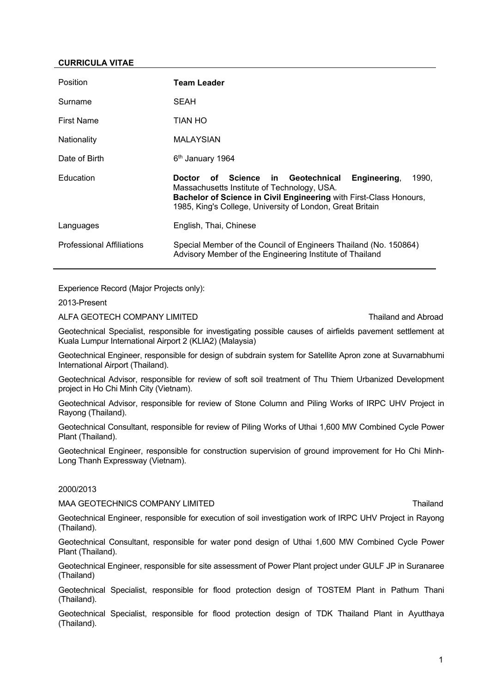### **CURRICULA VITAE**

| Position                         | <b>Team Leader</b>                                                                                                                                                                                                                                           |
|----------------------------------|--------------------------------------------------------------------------------------------------------------------------------------------------------------------------------------------------------------------------------------------------------------|
| Surname                          | SEAH                                                                                                                                                                                                                                                         |
| <b>First Name</b>                | TIAN HO                                                                                                                                                                                                                                                      |
| Nationality                      | <b>MALAYSIAN</b>                                                                                                                                                                                                                                             |
| Date of Birth                    | 6 <sup>th</sup> January 1964                                                                                                                                                                                                                                 |
| Education                        | Science in<br>Geotechnical<br>Engineering,<br>1990,<br><b>Doctor</b><br>of<br>Massachusetts Institute of Technology, USA.<br>Bachelor of Science in Civil Engineering with First-Class Honours,<br>1985, King's College, University of London, Great Britain |
| Languages                        | English, Thai, Chinese                                                                                                                                                                                                                                       |
| <b>Professional Affiliations</b> | Special Member of the Council of Engineers Thailand (No. 150864)<br>Advisory Member of the Engineering Institute of Thailand                                                                                                                                 |

Experience Record (Major Projects only):

2013-Present

ALFA GEOTECH COMPANY LIMITED **Thailand and Abroad** Thailand and Abroad

Geotechnical Specialist, responsible for investigating possible causes of airfields pavement settlement at Kuala Lumpur International Airport 2 (KLIA2) (Malaysia)

Geotechnical Engineer, responsible for design of subdrain system for Satellite Apron zone at Suvarnabhumi International Airport (Thailand).

Geotechnical Advisor, responsible for review of soft soil treatment of Thu Thiem Urbanized Development project in Ho Chi Minh City (Vietnam).

Geotechnical Advisor, responsible for review of Stone Column and Piling Works of IRPC UHV Project in Rayong (Thailand).

Geotechnical Consultant, responsible for review of Piling Works of Uthai 1,600 MW Combined Cycle Power Plant (Thailand).

Geotechnical Engineer, responsible for construction supervision of ground improvement for Ho Chi Minh-Long Thanh Expressway (Vietnam).

### 2000/2013

MAA GEOTECHNICS COMPANY LIMITED THAT THE SERVICE OF THE THAILAND THAILAND

Geotechnical Engineer, responsible for execution of soil investigation work of IRPC UHV Project in Rayong (Thailand).

Geotechnical Consultant, responsible for water pond design of Uthai 1,600 MW Combined Cycle Power Plant (Thailand).

Geotechnical Engineer, responsible for site assessment of Power Plant project under GULF JP in Suranaree (Thailand)

Geotechnical Specialist, responsible for flood protection design of TOSTEM Plant in Pathum Thani (Thailand).

Geotechnical Specialist, responsible for flood protection design of TDK Thailand Plant in Ayutthaya (Thailand).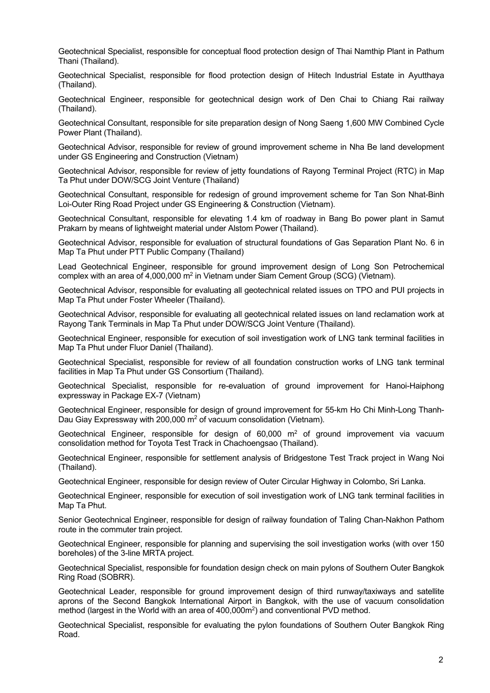Geotechnical Specialist, responsible for conceptual flood protection design of Thai Namthip Plant in Pathum Thani (Thailand).

Geotechnical Specialist, responsible for flood protection design of Hitech Industrial Estate in Ayutthaya (Thailand).

Geotechnical Engineer, responsible for geotechnical design work of Den Chai to Chiang Rai railway (Thailand).

Geotechnical Consultant, responsible for site preparation design of Nong Saeng 1,600 MW Combined Cycle Power Plant (Thailand).

Geotechnical Advisor, responsible for review of ground improvement scheme in Nha Be land development under GS Engineering and Construction (Vietnam)

Geotechnical Advisor, responsible for review of jetty foundations of Rayong Terminal Project (RTC) in Map Ta Phut under DOW/SCG Joint Venture (Thailand)

Geotechnical Consultant, responsible for redesign of ground improvement scheme for Tan Son Nhat-Binh Loi-Outer Ring Road Project under GS Engineering & Construction (Vietnam).

Geotechnical Consultant, responsible for elevating 1.4 km of roadway in Bang Bo power plant in Samut Prakarn by means of lightweight material under Alstom Power (Thailand).

Geotechnical Advisor, responsible for evaluation of structural foundations of Gas Separation Plant No. 6 in Map Ta Phut under PTT Public Company (Thailand)

Lead Geotechnical Engineer, responsible for ground improvement design of Long Son Petrochemical complex with an area of 4,000,000  $m^2$  in Vietnam under Siam Cement Group (SCG) (Vietnam).

Geotechnical Advisor, responsible for evaluating all geotechnical related issues on TPO and PUI projects in Map Ta Phut under Foster Wheeler (Thailand).

Geotechnical Advisor, responsible for evaluating all geotechnical related issues on land reclamation work at Rayong Tank Terminals in Map Ta Phut under DOW/SCG Joint Venture (Thailand).

Geotechnical Engineer, responsible for execution of soil investigation work of LNG tank terminal facilities in Map Ta Phut under Fluor Daniel (Thailand).

Geotechnical Specialist, responsible for review of all foundation construction works of LNG tank terminal facilities in Map Ta Phut under GS Consortium (Thailand).

Geotechnical Specialist, responsible for re-evaluation of ground improvement for Hanoi-Haiphong expressway in Package EX-7 (Vietnam)

Geotechnical Engineer, responsible for design of ground improvement for 55-km Ho Chi Minh-Long Thanh-Dau Giay Expressway with 200,000  $m^2$  of vacuum consolidation (Vietnam).

Geotechnical Engineer, responsible for design of  $60,000$  m<sup>2</sup> of ground improvement via vacuum consolidation method for Toyota Test Track in Chachoengsao (Thailand).

Geotechnical Engineer, responsible for settlement analysis of Bridgestone Test Track project in Wang Noi (Thailand).

Geotechnical Engineer, responsible for design review of Outer Circular Highway in Colombo, Sri Lanka.

Geotechnical Engineer, responsible for execution of soil investigation work of LNG tank terminal facilities in Map Ta Phut.

Senior Geotechnical Engineer, responsible for design of railway foundation of Taling Chan-Nakhon Pathom route in the commuter train project.

Geotechnical Engineer, responsible for planning and supervising the soil investigation works (with over 150 boreholes) of the 3-line MRTA project.

Geotechnical Specialist, responsible for foundation design check on main pylons of Southern Outer Bangkok Ring Road (SOBRR).

Geotechnical Leader, responsible for ground improvement design of third runway/taxiways and satellite aprons of the Second Bangkok International Airport in Bangkok, with the use of vacuum consolidation method (largest in the World with an area of 400,000m2) and conventional PVD method.

Geotechnical Specialist, responsible for evaluating the pylon foundations of Southern Outer Bangkok Ring Road.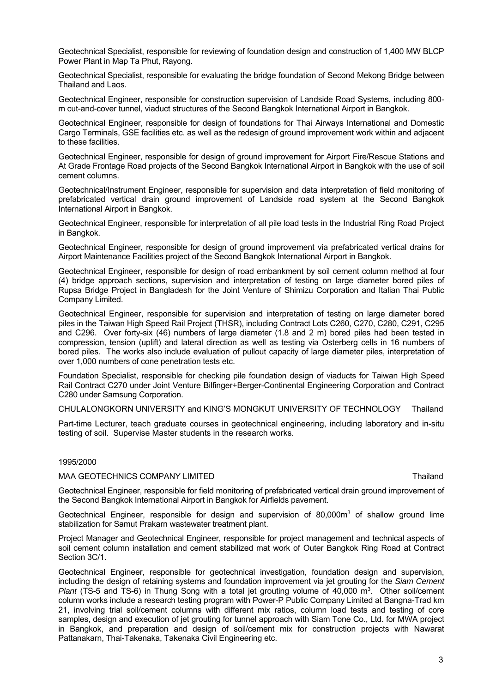Geotechnical Specialist, responsible for reviewing of foundation design and construction of 1,400 MW BLCP Power Plant in Map Ta Phut, Rayong.

Geotechnical Specialist, responsible for evaluating the bridge foundation of Second Mekong Bridge between Thailand and Laos.

Geotechnical Engineer, responsible for construction supervision of Landside Road Systems, including 800 m cut-and-cover tunnel, viaduct structures of the Second Bangkok International Airport in Bangkok.

Geotechnical Engineer, responsible for design of foundations for Thai Airways International and Domestic Cargo Terminals, GSE facilities etc. as well as the redesign of ground improvement work within and adjacent to these facilities.

Geotechnical Engineer, responsible for design of ground improvement for Airport Fire/Rescue Stations and At Grade Frontage Road projects of the Second Bangkok International Airport in Bangkok with the use of soil cement columns.

Geotechnical/Instrument Engineer, responsible for supervision and data interpretation of field monitoring of prefabricated vertical drain ground improvement of Landside road system at the Second Bangkok International Airport in Bangkok.

Geotechnical Engineer, responsible for interpretation of all pile load tests in the Industrial Ring Road Project in Bangkok.

Geotechnical Engineer, responsible for design of ground improvement via prefabricated vertical drains for Airport Maintenance Facilities project of the Second Bangkok International Airport in Bangkok.

Geotechnical Engineer, responsible for design of road embankment by soil cement column method at four (4) bridge approach sections, supervision and interpretation of testing on large diameter bored piles of Rupsa Bridge Project in Bangladesh for the Joint Venture of Shimizu Corporation and Italian Thai Public Company Limited.

Geotechnical Engineer, responsible for supervision and interpretation of testing on large diameter bored piles in the Taiwan High Speed Rail Project (THSR), including Contract Lots C260, C270, C280, C291, C295 and C296. Over forty-six (46) numbers of large diameter (1.8 and 2 m) bored piles had been tested in compression, tension (uplift) and lateral direction as well as testing via Osterberg cells in 16 numbers of bored piles. The works also include evaluation of pullout capacity of large diameter piles, interpretation of over 1,000 numbers of cone penetration tests etc.

Foundation Specialist, responsible for checking pile foundation design of viaducts for Taiwan High Speed Rail Contract C270 under Joint Venture Bilfinger+Berger-Continental Engineering Corporation and Contract C280 under Samsung Corporation.

CHULALONGKORN UNIVERSITY and KING'S MONGKUT UNIVERSITY OF TECHNOLOGY Thailand

Part-time Lecturer, teach graduate courses in geotechnical engineering, including laboratory and in-situ testing of soil. Supervise Master students in the research works.

#### 1995/2000

## MAA GEOTECHNICS COMPANY LIMITED **Thailand** that the state of the state of the state of the state of the state of the state of the state of the state of the state of the state of the state of the state of the state of the s

Geotechnical Engineer, responsible for field monitoring of prefabricated vertical drain ground improvement of the Second Bangkok International Airport in Bangkok for Airfields pavement.

Geotechnical Engineer, responsible for design and supervision of  $80,000m<sup>3</sup>$  of shallow ground lime stabilization for Samut Prakarn wastewater treatment plant.

Project Manager and Geotechnical Engineer, responsible for project management and technical aspects of soil cement column installation and cement stabilized mat work of Outer Bangkok Ring Road at Contract Section 3C/1.

Geotechnical Engineer, responsible for geotechnical investigation, foundation design and supervision, including the design of retaining systems and foundation improvement via jet grouting for the *Siam Cement Plant* (TS-5 and TS-6) in Thung Song with a total jet grouting volume of 40,000 m3. Other soil/cement column works include a research testing program with Power-P Public Company Limited at Bangna-Trad km 21, involving trial soil/cement columns with different mix ratios, column load tests and testing of core samples, design and execution of jet grouting for tunnel approach with Siam Tone Co., Ltd. for MWA project in Bangkok, and preparation and design of soil/cement mix for construction projects with Nawarat Pattanakarn, Thai-Takenaka, Takenaka Civil Engineering etc.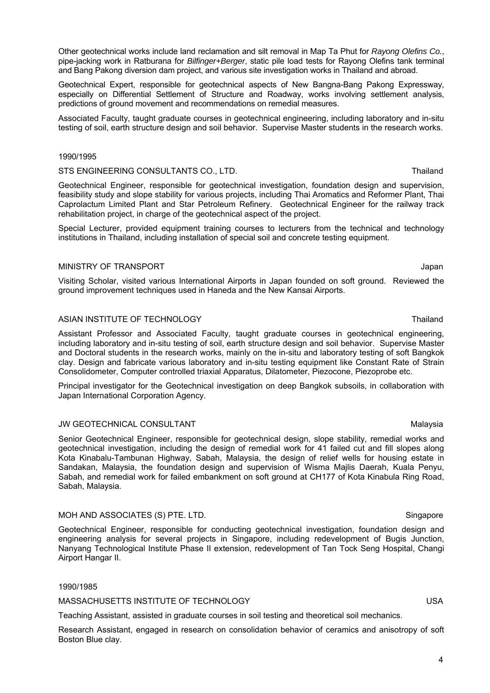Other geotechnical works include land reclamation and silt removal in Map Ta Phut for *Rayong Olefins Co.*, pipe-jacking work in Ratburana for *Bilfinger+Berger*, static pile load tests for Rayong Olefins tank terminal and Bang Pakong diversion dam project, and various site investigation works in Thailand and abroad.

Geotechnical Expert, responsible for geotechnical aspects of New Bangna-Bang Pakong Expressway, especially on Differential Settlement of Structure and Roadway, works involving settlement analysis, predictions of ground movement and recommendations on remedial measures.

Associated Faculty, taught graduate courses in geotechnical engineering, including laboratory and in-situ testing of soil, earth structure design and soil behavior. Supervise Master students in the research works.

## 1990/1995

## STS ENGINEERING CONSULTANTS CO., LTD. Thailand STS ENGINEERING CONSULTANTS CO., LTD.

Geotechnical Engineer, responsible for geotechnical investigation, foundation design and supervision, feasibility study and slope stability for various projects, including Thai Aromatics and Reformer Plant, Thai Caprolactum Limited Plant and Star Petroleum Refinery. Geotechnical Engineer for the railway track rehabilitation project, in charge of the geotechnical aspect of the project.

Special Lecturer, provided equipment training courses to lecturers from the technical and technology institutions in Thailand, including installation of special soil and concrete testing equipment.

# MINISTRY OF TRANSPORT **SECURE 2018** Japan

Visiting Scholar, visited various International Airports in Japan founded on soft ground. Reviewed the ground improvement techniques used in Haneda and the New Kansai Airports.

# ASIAN INSTITUTE OF TECHNOLOGY **Thailand** ASIAN INSTITUTE OF THE MOLOGY

Assistant Professor and Associated Faculty, taught graduate courses in geotechnical engineering, including laboratory and in-situ testing of soil, earth structure design and soil behavior. Supervise Master and Doctoral students in the research works, mainly on the in-situ and laboratory testing of soft Bangkok clay. Design and fabricate various laboratory and in-situ testing equipment like Constant Rate of Strain Consolidometer, Computer controlled triaxial Apparatus, Dilatometer, Piezocone, Piezoprobe etc.

Principal investigator for the Geotechnical investigation on deep Bangkok subsoils, in collaboration with Japan International Corporation Agency.

# JW GEOTECHNICAL CONSULTANT **Malaysia** Malaysia

Senior Geotechnical Engineer, responsible for geotechnical design, slope stability, remedial works and geotechnical investigation, including the design of remedial work for 41 failed cut and fill slopes along Kota Kinabalu-Tambunan Highway, Sabah, Malaysia, the design of relief wells for housing estate in Sandakan, Malaysia, the foundation design and supervision of Wisma Majlis Daerah, Kuala Penyu, Sabah, and remedial work for failed embankment on soft ground at CH177 of Kota Kinabula Ring Road, Sabah, Malaysia.

# MOH AND ASSOCIATES (S) PTE. LTD. Singapore and the state of the state of the singapore singapore

Geotechnical Engineer, responsible for conducting geotechnical investigation, foundation design and engineering analysis for several projects in Singapore, including redevelopment of Bugis Junction, Nanyang Technological Institute Phase II extension, redevelopment of Tan Tock Seng Hospital, Changi Airport Hangar II.

#### 1990/1985

MASSACHUSETTS INSTITUTE OF TECHNOLOGY **WASSACHUSETTS** INSA

Teaching Assistant, assisted in graduate courses in soil testing and theoretical soil mechanics.

Research Assistant, engaged in research on consolidation behavior of ceramics and anisotropy of soft Boston Blue clay.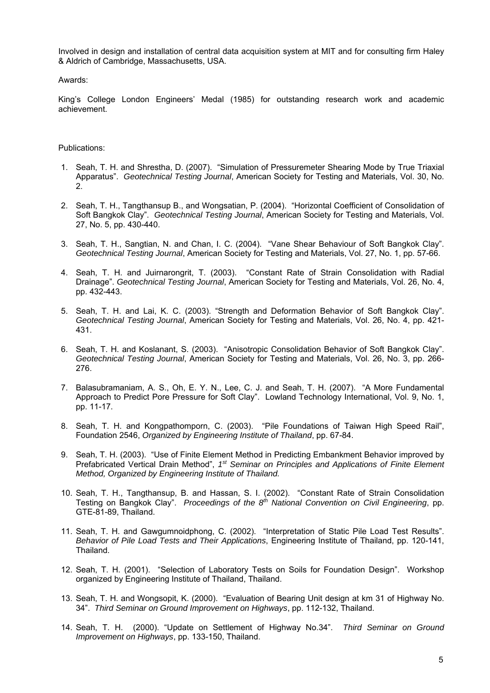Involved in design and installation of central data acquisition system at MIT and for consulting firm Haley & Aldrich of Cambridge, Massachusetts, USA.

Awards:

King's College London Engineers' Medal (1985) for outstanding research work and academic achievement.

## Publications:

- 1. Seah, T. H. and Shrestha, D. (2007). "Simulation of Pressuremeter Shearing Mode by True Triaxial Apparatus". *Geotechnical Testing Journal*, American Society for Testing and Materials, Vol. 30, No. 2.
- 2. Seah, T. H., Tangthansup B., and Wongsatian, P. (2004). "Horizontal Coefficient of Consolidation of Soft Bangkok Clay". *Geotechnical Testing Journal*, American Society for Testing and Materials, Vol. 27, No. 5, pp. 430-440.
- 3. Seah, T. H., Sangtian, N. and Chan, I. C. (2004). "Vane Shear Behaviour of Soft Bangkok Clay". *Geotechnical Testing Journal*, American Society for Testing and Materials, Vol. 27, No. 1, pp. 57-66.
- 4. Seah, T. H. and Juirnarongrit, T. (2003). "Constant Rate of Strain Consolidation with Radial Drainage". *Geotechnical Testing Journal*, American Society for Testing and Materials, Vol. 26, No. 4, pp. 432-443.
- 5. Seah, T. H. and Lai, K. C. (2003). "Strength and Deformation Behavior of Soft Bangkok Clay". *Geotechnical Testing Journal*, American Society for Testing and Materials, Vol. 26, No. 4, pp. 421- 431.
- 6. Seah, T. H. and Koslanant, S. (2003). "Anisotropic Consolidation Behavior of Soft Bangkok Clay". *Geotechnical Testing Journal*, American Society for Testing and Materials, Vol. 26, No. 3, pp. 266- 276.
- 7. Balasubramaniam, A. S., Oh, E. Y. N., Lee, C. J. and Seah, T. H. (2007). "A More Fundamental Approach to Predict Pore Pressure for Soft Clay". Lowland Technology International, Vol. 9, No. 1, pp. 11-17.
- 8. Seah, T. H. and Kongpathomporn, C. (2003). "Pile Foundations of Taiwan High Speed Rail", Foundation 2546, *Organized by Engineering Institute of Thailand*, pp. 67-84.
- 9. Seah, T. H. (2003). "Use of Finite Element Method in Predicting Embankment Behavior improved by Prefabricated Vertical Drain Method", *1st Seminar on Principles and Applications of Finite Element Method, Organized by Engineering Institute of Thailand.*
- 10. Seah, T. H., Tangthansup, B. and Hassan, S. I. (2002). "Constant Rate of Strain Consolidation Testing on Bangkok Clay". *Proceedings of the 8th National Convention on Civil Engineering*, pp. GTE-81-89, Thailand.
- 11. Seah, T. H. and Gawgumnoidphong, C. (2002). "Interpretation of Static Pile Load Test Results". *Behavior of Pile Load Tests and Their Applications*, Engineering Institute of Thailand, pp. 120-141, Thailand.
- 12. Seah, T. H. (2001). "Selection of Laboratory Tests on Soils for Foundation Design". Workshop organized by Engineering Institute of Thailand, Thailand.
- 13. Seah, T. H. and Wongsopit, K. (2000). "Evaluation of Bearing Unit design at km 31 of Highway No. 34". *Third Seminar on Ground Improvement on Highways*, pp. 112-132, Thailand.
- 14. Seah, T. H. (2000). "Update on Settlement of Highway No.34". *Third Seminar on Ground Improvement on Highways*, pp. 133-150, Thailand.